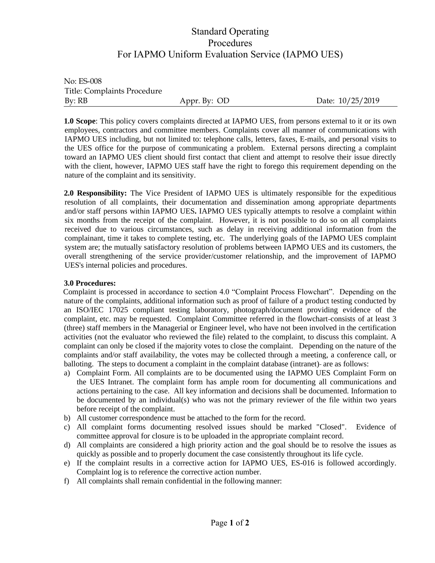## Standard Operating Procedures For IAPMO Uniform Evaluation Service (IAPMO UES)

No: ES-008 Title: Complaints Procedure By: RB Appr. By: OD Date: 10/25/2019

**1.0 Scope**: This policy covers complaints directed at IAPMO UES, from persons external to it or its own employees, contractors and committee members. Complaints cover all manner of communications with IAPMO UES including, but not limited to: telephone calls, letters, faxes, E-mails, and personal visits to the UES office for the purpose of communicating a problem. External persons directing a complaint toward an IAPMO UES client should first contact that client and attempt to resolve their issue directly with the client, however, IAPMO UES staff have the right to forego this requirement depending on the nature of the complaint and its sensitivity.

**2.0 Responsibility:** The Vice President of IAPMO UES is ultimately responsible for the expeditious resolution of all complaints, their documentation and dissemination among appropriate departments and/or staff persons within IAPMO UES**.** IAPMO UES typically attempts to resolve a complaint within six months from the receipt of the complaint. However, it is not possible to do so on all complaints received due to various circumstances, such as delay in receiving additional information from the complainant, time it takes to complete testing, etc. The underlying goals of the IAPMO UES complaint system are; the mutually satisfactory resolution of problems between IAPMO UES and its customers, the overall strengthening of the service provider/customer relationship, and the improvement of IAPMO UES's internal policies and procedures.

## **3.0 Procedures:**

Complaint is processed in accordance to section 4.0 "Complaint Process Flowchart". Depending on the nature of the complaints, additional information such as proof of failure of a product testing conducted by an ISO/IEC 17025 compliant testing laboratory, photograph/document providing evidence of the complaint, etc. may be requested. Complaint Committee referred in the flowchart-consists of at least 3 (three) staff members in the Managerial or Engineer level, who have not been involved in the certification activities (not the evaluator who reviewed the file) related to the complaint, to discuss this complaint. A complaint can only be closed if the majority votes to close the complaint. Depending on the nature of the complaints and/or staff availability, the votes may be collected through a meeting, a conference call, or balloting. The steps to document a complaint in the complaint database (intranet)- are as follows:

- a) Complaint Form. All complaints are to be documented using the IAPMO UES Complaint Form on the UES Intranet. The complaint form has ample room for documenting all communications and actions pertaining to the case. All key information and decisions shall be documented. Information to be documented by an individual(s) who was not the primary reviewer of the file within two years before receipt of the complaint.
- b) All customer correspondence must be attached to the form for the record.
- c) All complaint forms documenting resolved issues should be marked "Closed". Evidence of committee approval for closure is to be uploaded in the appropriate complaint record.
- d) All complaints are considered a high priority action and the goal should be to resolve the issues as quickly as possible and to properly document the case consistently throughout its life cycle.
- e) If the complaint results in a corrective action for IAPMO UES, ES-016 is followed accordingly. Complaint log is to reference the corrective action number.
- f) All complaints shall remain confidential in the following manner: